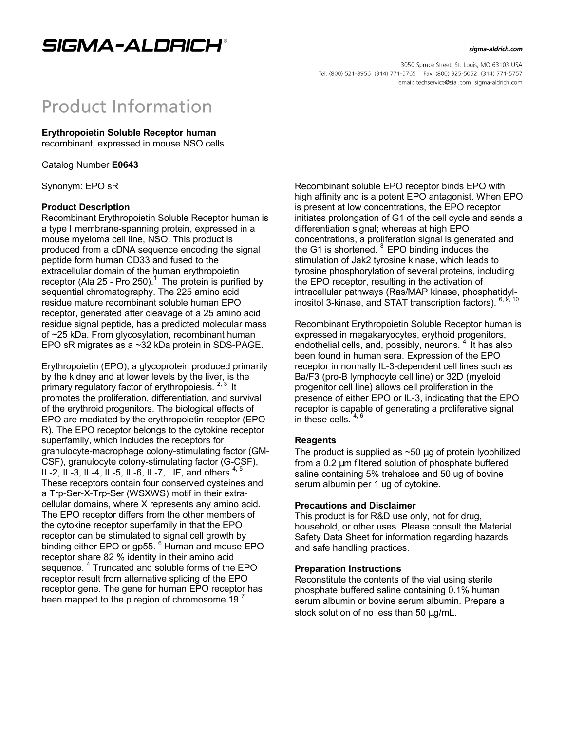3050 Spruce Street, St. Louis, MO 63103 USA Tel: (800) 521-8956 (314) 771-5765 Fax: (800) 325-5052 (314) 771-5757 email: techservice@sial.com sigma-aldrich.com

# **Product Information**

# **Erythropoietin Soluble Receptor human**

recombinant, expressed in mouse NSO cells

Catalog Number **E0643**

Synonym: EPO sR

## **Product Description**

Recombinant Erythropoietin Soluble Receptor human is a type I membrane-spanning protein, expressed in a mouse myeloma cell line, NSO. This product is produced from a cDNA sequence encoding the signal peptide form human CD33 and fused to the extracellular domain of the human erythropoietin receptor (Ala 25 - Pro 250).<sup>1</sup> The protein is purified by sequential chromatography. The 225 amino acid residue mature recombinant soluble human EPO receptor, generated after cleavage of a 25 amino acid residue signal peptide, has a predicted molecular mass of ~25 kDa. From glycosylation, recombinant human EPO sR migrates as a ~32 kDa protein in SDS-PAGE.

Erythropoietin (EPO), a glycoprotein produced primarily by the kidney and at lower levels by the liver, is the primary regulatory factor of erythropoiesis. <sup>2, 3</sup> It promotes the proliferation, differentiation, and survival of the erythroid progenitors. The biological effects of EPO are mediated by the erythropoietin receptor (EPO R). The EPO receptor belongs to the cytokine receptor superfamily, which includes the receptors for granulocyte-macrophage colony-stimulating factor (GM-CSF), granulocyte colony-stimulating factor (G-CSF), IL-2, IL-3, IL-4, IL-5, IL-6, IL-7, LIF, and others.<sup>4</sup> These receptors contain four conserved cysteines and a Trp-Ser-X-Trp-Ser (WSXWS) motif in their extracellular domains, where X represents any amino acid. The EPO receptor differs from the other members of the cytokine receptor superfamily in that the EPO receptor can be stimulated to signal cell growth by binding either EPO or gp55.<sup>6</sup> Human and mouse EPO receptor share 82 % identity in their amino acid sequence. <sup>4</sup> Truncated and soluble forms of the EPO receptor result from alternative splicing of the EPO receptor gene. The gene for human EPO receptor has been mapped to the p region of chromosome 19. $<sup>7</sup>$ </sup>

Recombinant soluble EPO receptor binds EPO with high affinity and is a potent EPO antagonist. When EPO is present at low concentrations, the EPO receptor initiates prolongation of G1 of the cell cycle and sends a differentiation signal; whereas at high EPO concentrations, a proliferation signal is generated and the G1 is shortened.  $8$  EPO binding induces the stimulation of Jak2 tyrosine kinase, which leads to tyrosine phosphorylation of several proteins, including the EPO receptor, resulting in the activation of intracellular pathways (Ras/MAP kinase, phosphatidylinositol 3-kinase, and STAT transcription factors). 6, 9, 10

Recombinant Erythropoietin Soluble Receptor human is expressed in megakaryocytes, erythoid progenitors, endothelial cells, and, possibly, neurons.  $4$  It has also been found in human sera. Expression of the EPO receptor in normally IL-3-dependent cell lines such as Ba/F3 (pro-B lymphocyte cell line) or 32D (myeloid progenitor cell line) allows cell proliferation in the presence of either EPO or IL-3, indicating that the EPO receptor is capable of generating a proliferative signal in these cells.  $4, 6$ 

#### **Reagents**

The product is supplied as  $\sim$  50  $\mu$ g of protein lyophilized from a 0.2 μm filtered solution of phosphate buffered saline containing 5% trehalose and 50 ug of bovine serum albumin per 1 ug of cytokine.

#### **Precautions and Disclaimer**

This product is for R&D use only, not for drug, household, or other uses. Please consult the Material Safety Data Sheet for information regarding hazards and safe handling practices.

#### **Preparation Instructions**

Reconstitute the contents of the vial using sterile phosphate buffered saline containing 0.1% human serum albumin or bovine serum albumin. Prepare a stock solution of no less than 50 μg/mL.